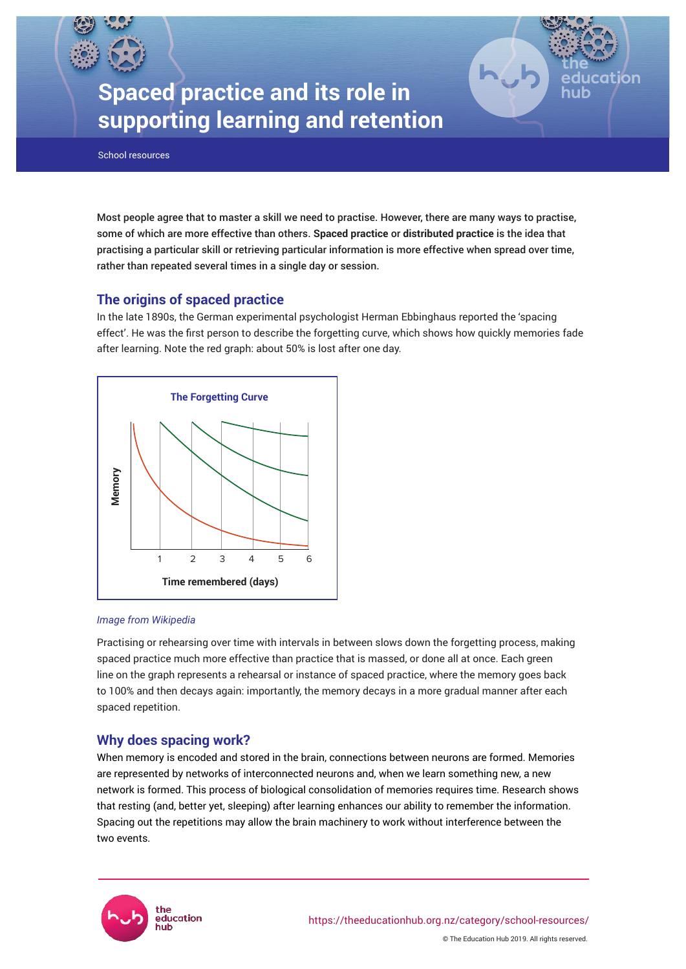# **Spaced practice and its role in supporting learning and retention**

School resources

Most people agree that to master a skill we need to practise. However, there are many ways to practise, some of which are more effective than others. **Spaced practice** or **distributed practice** is the idea that practising a particular skill or retrieving particular information is more effective when spread over time, rather than repeated several times in a single day or session.

lon

# **The origins of spaced practice**

In the late 1890s, the German experimental psychologist Herman Ebbinghaus reported the 'spacing effect'. He was the first person to describe the forgetting curve, which shows how quickly memories fade after learning. Note the red graph: about 50% is lost after one day.



#### *Image from Wikipedia*

Practising or rehearsing over time with intervals in between slows down the forgetting process, making spaced practice much more effective than practice that is massed, or done all at once. Each green line on the graph represents a rehearsal or instance of spaced practice, where the memory goes back to 100% and then decays again: importantly, the memory decays in a more gradual manner after each spaced repetition.

# **Why does spacing work?**

When memory is encoded and stored in the brain, connections between neurons are formed. Memories are represented by networks of interconnected neurons and, when we learn something new, a new network is formed. This process of biological consolidation of memories requires time. Research shows that resting (and, better yet, sleeping) after learning enhances our ability to remember the information. Spacing out the repetitions may allow the brain machinery to work without interference between the two events.

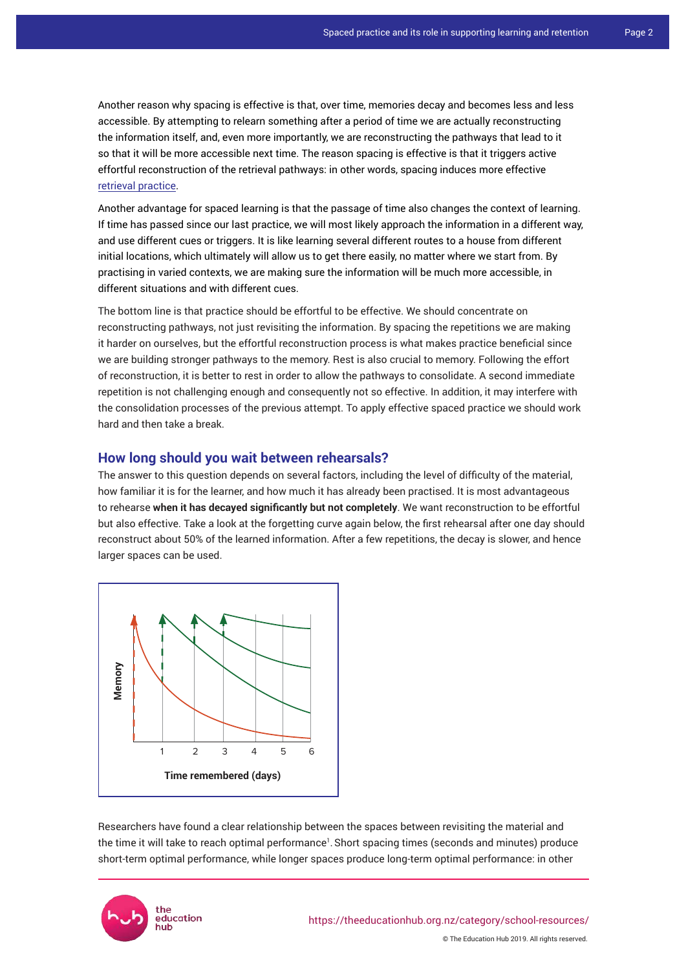Another reason why spacing is effective is that, over time, memories decay and becomes less and less accessible. By attempting to relearn something after a period of time we are actually reconstructing the information itself, and, even more importantly, we are reconstructing the pathways that lead to it so that it will be more accessible next time. The reason spacing is effective is that it triggers active effortful reconstruction of the retrieval pathways: in other words, spacing induces more effective [retrieval practice](https://theeducationhub.org.nz/the-benefits-of-retrieval-practice-in-learning/).

Another advantage for spaced learning is that the passage of time also changes the context of learning. If time has passed since our last practice, we will most likely approach the information in a different way, and use different cues or triggers. It is like learning several different routes to a house from different initial locations, which ultimately will allow us to get there easily, no matter where we start from. By practising in varied contexts, we are making sure the information will be much more accessible, in different situations and with different cues.

The bottom line is that practice should be effortful to be effective. We should concentrate on reconstructing pathways, not just revisiting the information. By spacing the repetitions we are making it harder on ourselves, but the effortful reconstruction process is what makes practice beneficial since we are building stronger pathways to the memory. Rest is also crucial to memory. Following the effort of reconstruction, it is better to rest in order to allow the pathways to consolidate. A second immediate repetition is not challenging enough and consequently not so effective. In addition, it may interfere with the consolidation processes of the previous attempt. To apply effective spaced practice we should work hard and then take a break.

## **How long should you wait between rehearsals?**

The answer to this question depends on several factors, including the level of difficulty of the material, how familiar it is for the learner, and how much it has already been practised. It is most advantageous to rehearse **when it has decayed significantly but not completely**. We want reconstruction to be effortful but also effective. Take a look at the forgetting curve again below, the first rehearsal after one day should reconstruct about 50% of the learned information. After a few repetitions, the decay is slower, and hence larger spaces can be used.



Researchers have found a clear relationship between the spaces between revisiting the material and the time it will take to reach optimal performance<sup>1</sup>. Short spacing times (seconds and minutes) produce short-term optimal performance, while longer spaces produce long-term optimal performance: in other

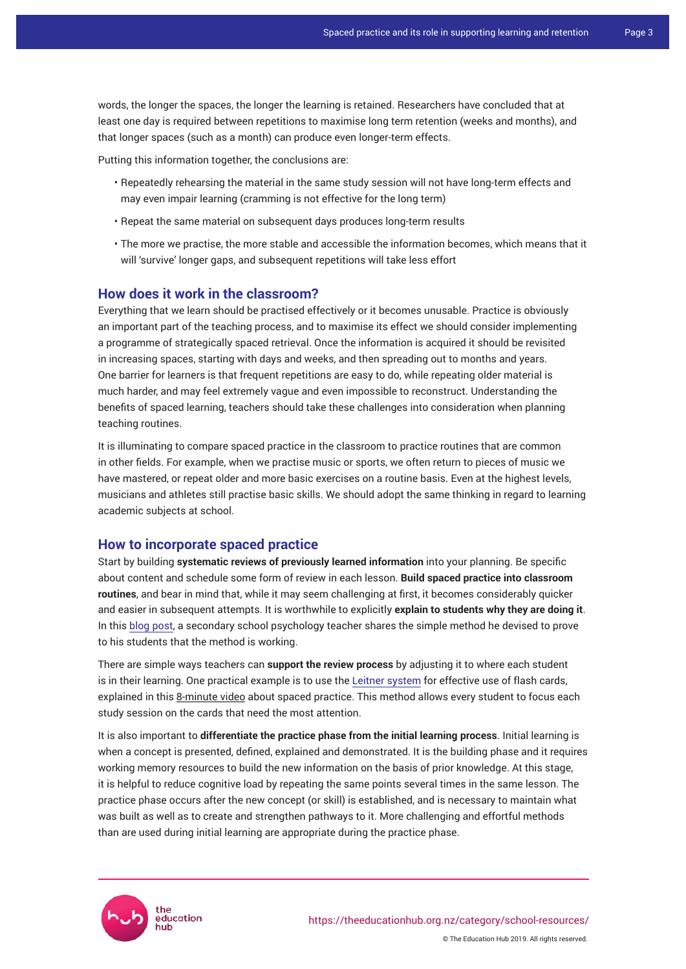words, the longer the spaces, the longer the learning is retained. Researchers have concluded that at least one day is required between repetitions to maximise long term retention (weeks and months), and that longer spaces (such as a month) can produce even longer-term effects.

Putting this information together, the conclusions are:

- Repeatedly rehearsing the material in the same study session will not have long-term effects and may even impair learning (cramming is not effective for the long term)
- Repeat the same material on subsequent days produces long-term results
- The more we practise, the more stable and accessible the information becomes, which means that it will 'survive' longer gaps, and subsequent repetitions will take less effort

#### **How does it work in the classroom?**

Everything that we learn should be practised effectively or it becomes unusable. Practice is obviously an important part of the teaching process, and to maximise its effect we should consider implementing a programme of strategically spaced retrieval. Once the information is acquired it should be revisited in increasing spaces, starting with days and weeks, and then spreading out to months and years. One barrier for learners is that frequent repetitions are easy to do, while repeating older material is much harder, and may feel extremely vague and even impossible to reconstruct. Understanding the benefits of spaced learning, teachers should take these challenges into consideration when planning teaching routines.

It is illuminating to compare spaced practice in the classroom to practice routines that are common in other fields. For example, when we practise music or sports, we often return to pieces of music we have mastered, or repeat older and more basic exercises on a routine basis. Even at the highest levels, musicians and athletes still practise basic skills. We should adopt the same thinking in regard to learning academic subjects at school.

## **How to incorporate spaced practice**

Start by building **systematic reviews of previously learned information** into your planning. Be specific about content and schedule some form of review in each lesson. **Build spaced practice into classroom routines**, and bear in mind that, while it may seem challenging at first, it becomes considerably quicker and easier in subsequent attempts. It is worthwhile to explicitly **explain to students why they are doing it**. In this [blog post](https://theeffortfuleducator.com/2017/10/22/easy-application-of-spaced-practice-in-the-classroom/), a secondary school psychology teacher shares the simple method he devised to prove to his students that the method is working.

There are simple ways teachers can **support the review process** by adjusting it to where each student is in their learning. One practical example is to use the [Leitner system](https://en.wikipedia.org/wiki/Leitner_system) for effective use of flash cards, explained in this [8-minute video](https://youtu.be/eVajQPuRmk8) about spaced practice. This method allows every student to focus each study session on the cards that need the most attention.

It is also important to **differentiate the practice phase from the initial learning process**. Initial learning is when a concept is presented, defined, explained and demonstrated. It is the building phase and it requires working memory resources to build the new information on the basis of prior knowledge. At this stage, it is helpful to reduce cognitive load by repeating the same points several times in the same lesson. The practice phase occurs after the new concept (or skill) is established, and is necessary to maintain what was built as well as to create and strengthen pathways to it. More challenging and effortful methods than are used during initial learning are appropriate during the practice phase.